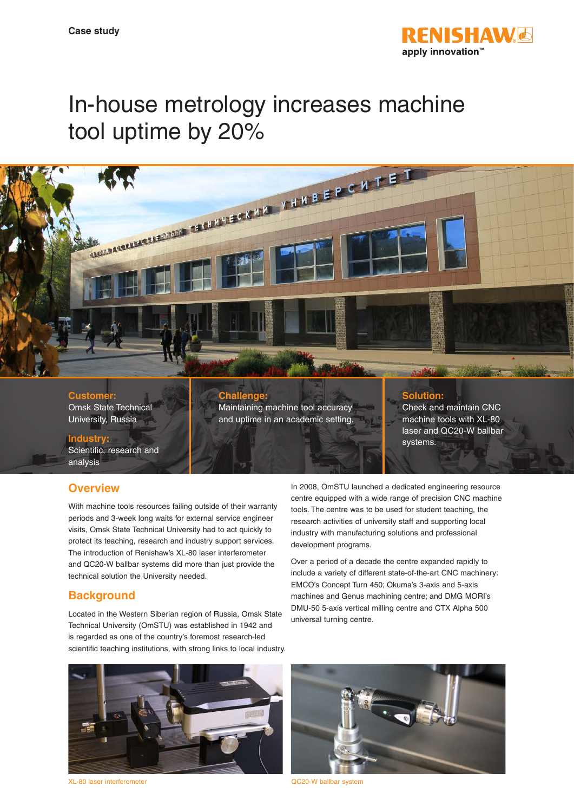

# In-house metrology increases machine tool uptime by 20%



**Customer:** Omsk State Technical University, Russia

**Challenge:** Maintaining machine tool accuracy and uptime in an academic setting.

#### **Solution:**

Check and maintain CNC machine tools with XL-80 laser and QC20-W ballbar systems.

# **Industry:**

Scientific, research and analysis

### **Overview**

With machine tools resources failing outside of their warranty periods and 3-week long waits for external service engineer visits, Omsk State Technical University had to act quickly to protect its teaching, research and industry support services. The introduction of Renishaw's XL-80 laser interferometer and QC20-W ballbar systems did more than just provide the technical solution the University needed.

# **Background**

Located in the Western Siberian region of Russia, Omsk State Technical University (OmSTU) was established in 1942 and is regarded as one of the country's foremost research-led scientific teaching institutions, with strong links to local industry.

In 2008, OmSTU launched a dedicated engineering resource centre equipped with a wide range of precision CNC machine tools. The centre was to be used for student teaching, the research activities of university staff and supporting local industry with manufacturing solutions and professional development programs.

Over a period of a decade the centre expanded rapidly to include a variety of different state-of-the-art CNC machinery: EMCO's Concept Turn 450; Okuma's 3-axis and 5-axis machines and Genus machining centre; and DMG MORI's DMU-50 5-axis vertical milling centre and CTX Alpha 500 universal turning centre.



XL-80 laser interferometer QC20-W ballbar system

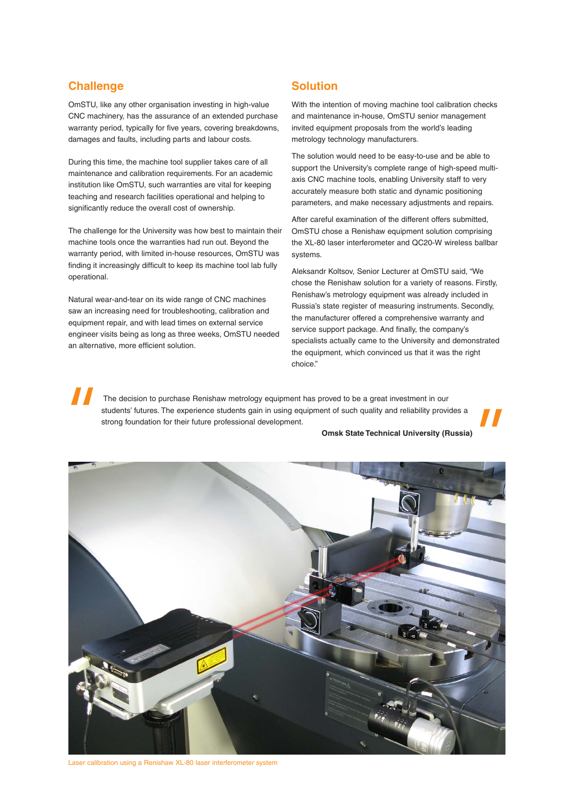#### **Challenge**

OmSTU, like any other organisation investing in high-value CNC machinery, has the assurance of an extended purchase warranty period, typically for five years, covering breakdowns, damages and faults, including parts and labour costs.

During this time, the machine tool supplier takes care of all maintenance and calibration requirements. For an academic institution like OmSTU, such warranties are vital for keeping teaching and research facilities operational and helping to significantly reduce the overall cost of ownership.

The challenge for the University was how best to maintain their machine tools once the warranties had run out. Beyond the warranty period, with limited in-house resources, OmSTU was finding it increasingly difficult to keep its machine tool lab fully operational.

Natural wear-and-tear on its wide range of CNC machines saw an increasing need for troubleshooting, calibration and equipment repair, and with lead times on external service engineer visits being as long as three weeks, OmSTU needed an alternative, more efficient solution.

#### **Solution**

With the intention of moving machine tool calibration checks and maintenance in-house, OmSTU senior management invited equipment proposals from the world's leading metrology technology manufacturers.

The solution would need to be easy-to-use and be able to support the University's complete range of high-speed multiaxis CNC machine tools, enabling University staff to very accurately measure both static and dynamic positioning parameters, and make necessary adjustments and repairs.

After careful examination of the different offers submitted, OmSTU chose a Renishaw equipment solution comprising the XL-80 laser interferometer and QC20-W wireless ballbar systems.

Aleksandr Koltsov, Senior Lecturer at OmSTU said, "We chose the Renishaw solution for a variety of reasons. Firstly, Renishaw's metrology equipment was already included in Russia's state register of measuring instruments. Secondly, the manufacturer offered a comprehensive warranty and service support package. And finally, the company's specialists actually came to the University and demonstrated the equipment, which convinced us that it was the right choice."

 The decision to purchase Renishaw metrology equipment has proved to be a great investment in our students' futures. The experience students gain in using equipment of such quality and reliability provides a strong foundation for their future professional development.

#### **Omsk State Technical University (Russia)**



Laser calibration using a Renishaw XL-80 laser interferometer system